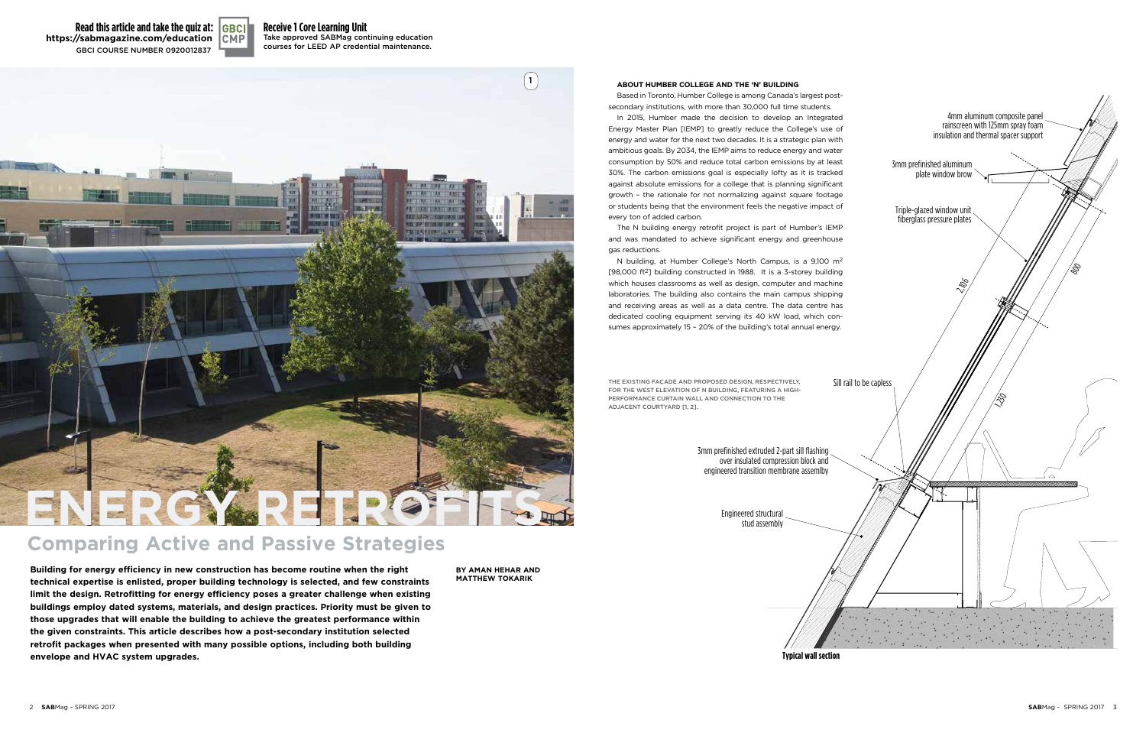# **Receive 1 Core Learning Unit**

Take approved SABMag continuing education courses for LEED AP credential maintenance.

# **Comparing active and Passive strategies**

**building for energy efficiency in new construction has become routine when the right technical expertise is enlisted, proper building technology is selected, and few constraints**  limit the design. Retrofitting for energy efficiency poses a greater challenge when existing **buildings employ dated systems, materials, and design practices. Priority must be given to those upgrades that will enable the building to achieve the greatest performance within the given constraints. this article describes how a post-secondary institution selected retrofit packages when presented with many possible options, including both building envelope and HVaC system upgrades.**

#### **about HumbEr CollEgE and tHE 'n' building**

Based in Toronto, Humber College is among Canada's largest postsecondary institutions, with more than 30,000 full time students.

THE EXISTING FAÇADE AND PROPOSED DESIGN, RESPECTIVELY, for ThE wEST ELEvATion of n BuiLDing, fEATuring A high-PERFORMANCE CURTAIN WALL AND CONNECTION TO THE ADjAcEnT courTyArD [1, 2].

In 2015, Humber made the decision to develop an Integrated Energy Master Plan [IEMP] to greatly reduce the College's use of energy and water for the next two decades. It is a strategic plan with ambitious goals. By 2034, the IEMP aims to reduce energy and water consumption by 50% and reduce total carbon emissions by at least 30%. The carbon emissions goal is especially lofty as it is tracked against absolute emissions for a college that is planning significant growth – the rationale for not normalizing against square footage or students being that the environment feels the negative impact of every ton of added carbon.

**Read this article and take the quiz at:** WWW.SABMAGAZINE-EDUCATION.INFO **https://sabmagazine.com/education**gBci courSE nuMBEr 0920012837





The N building energy retrofit project is part of Humber's IEMP and was mandated to achieve significant energy and greenhouse gas reductions.

N building, at Humber College's North Campus, is a 9,100 m2 [98,000 ft2] building constructed in 1988. It is a 3-storey building which houses classrooms as well as design, computer and machine laboratories. The building also contains the main campus shipping and receiving areas as well as a data centre. The data centre has dedicated cooling equipment serving its 40 kW load, which consumes approximately 15 – 20% of the building's total annual energy.

**Typical wall section**



over insulated compression block and engineered transition membrane assemlby

> Engineered structural stud assembly

**by aman HEHar and mattHEw tokarik**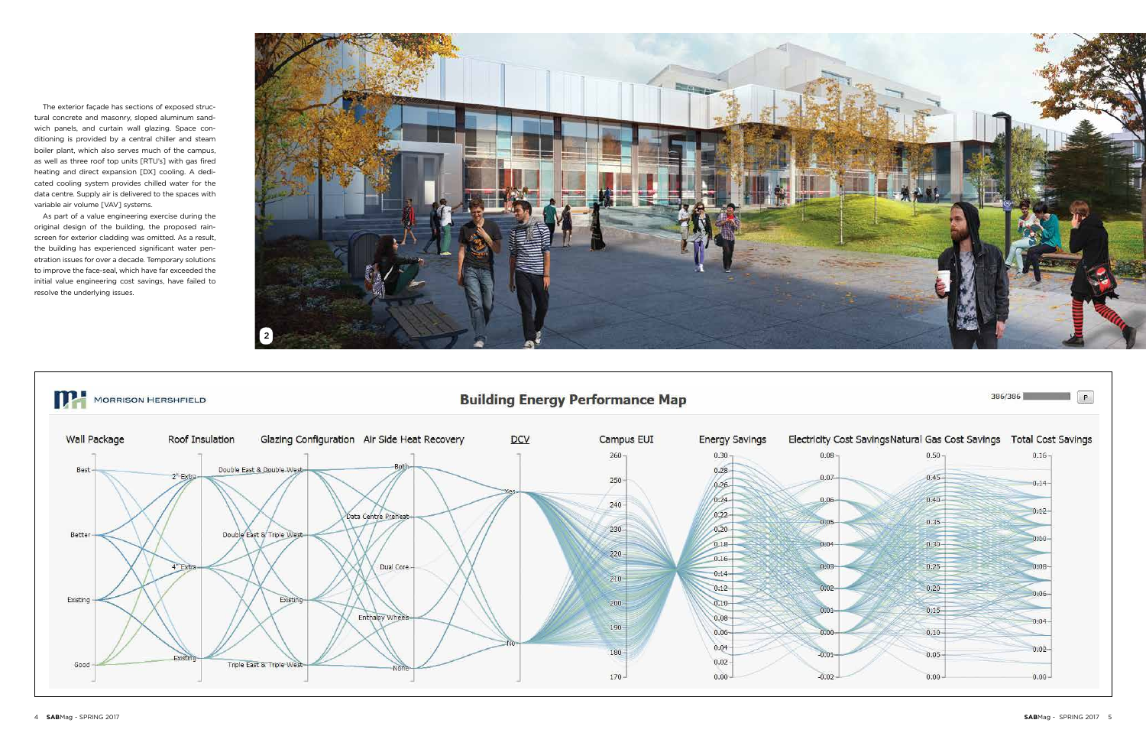The exterior façade has sections of exposed structural concrete and masonry, sloped aluminum sandwich panels, and curtain wall glazing. Space conditioning is provided by a central chiller and steam boiler plant, which also serves much of the campus, as well as three roof top units [RTU's] with gas fired heating and direct expansion [DX] cooling. A dedicated cooling system provides chilled water for the data centre. Supply air is delivered to the spaces with variable air volume [VAV] systems.

As part of a value engineering exercise during the original design of the building, the proposed rainscreen for exterior cladding was omitted. As a result, the building has experienced significant water penetration issues for over a decade. Temporary solutions to improve the face-seal, which have far exceeded the initial value engineering cost savings, have failed to resolve the underlying issues.

MORRISON HERSHFIELD



Glazing Configuration Air Side Heat Recovery **Wall Package** Roof Insulation DCV Campus EUI **Energy Savings** 260  $0.30 0.08$ Double East & Double-West  $0.28 -$ Best  $2"$  Ext  $0.07$  $250 0.26 0.24 0.06$  $240 0.22 -$ Data Centre Preheat 0.05  $0.20 230 -$ Better Double East & Triple West  $0.18 0.04$  $220 0.16 -$ Dual Core  $0.03$  $4"$ Fxt  $-0.14 210 0.12 -$ Existing Existing  $200 0.10 0.01$ Enthalpy Whe  $0.08 190 0.06 0.00$  $0.04 180 -0.01$  $0.02 -$ Triple East & Triple West Good  $170 0.00 -0.02 -$ 

**Building Energy Performance Map** 

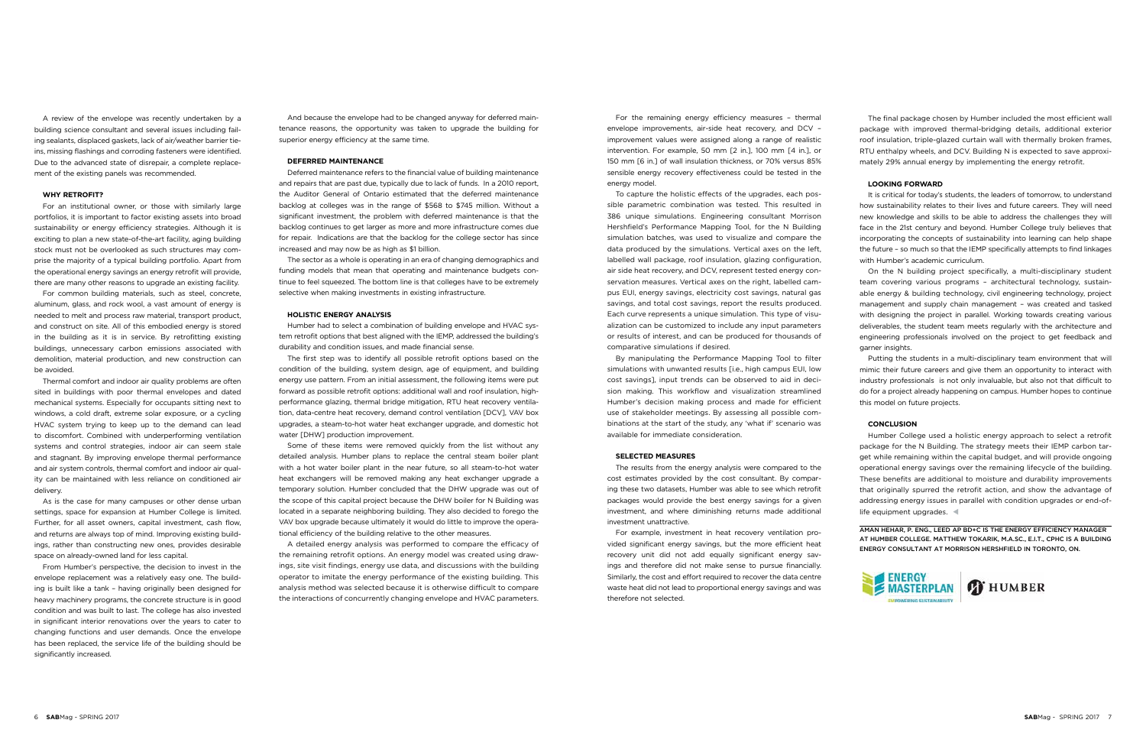A review of the envelope was recently undertaken by a building science consultant and several issues including failing sealants, displaced gaskets, lack of air/weather barrier tieins, missing flashings and corroding fasteners were identified. Due to the advanced state of disrepair, a complete replacement of the existing panels was recommended.

#### **Why retrofit?**

For an institutional owner, or those with similarly large portfolios, it is important to factor existing assets into broad sustainability or energy efficiency strategies. Although it is exciting to plan a new state-of-the-art facility, aging building stock must not be overlooked as such structures may comprise the majority of a typical building portfolio. Apart from the operational energy savings an energy retrofit will provide, there are many other reasons to upgrade an existing facility.

For common building materials, such as steel, concrete, aluminum, glass, and rock wool, a vast amount of energy is needed to melt and process raw material, transport product, and construct on site. All of this embodied energy is stored in the building as it is in service. By retrofitting existing buildings, unnecessary carbon emissions associated with demolition, material production, and new construction can be avoided.

From Humber's perspective, the decision to invest in the envelope replacement was a relatively easy one. The building is built like a tank – having originally been designed for heavy machinery programs, the concrete structure is in good condition and was built to last. The college has also invested in significant interior renovations over the years to cater to changing functions and user demands. Once the envelope has been replaced, the service life of the building should be significantly increased.

Thermal comfort and indoor air quality problems are often sited in buildings with poor thermal envelopes and dated mechanical systems. Especially for occupants sitting next to windows, a cold draft, extreme solar exposure, or a cycling HVAC system trying to keep up to the demand can lead to discomfort. Combined with underperforming ventilation systems and control strategies, indoor air can seem stale and stagnant. By improving envelope thermal performance and air system controls, thermal comfort and indoor air quality can be maintained with less reliance on conditioned air delivery.

As is the case for many campuses or other dense urban settings, space for expansion at Humber College is limited. Further, for all asset owners, capital investment, cash flow, and returns are always top of mind. Improving existing buildings, rather than constructing new ones, provides desirable space on already-owned land for less capital.

And because the envelope had to be changed anyway for deferred maintenance reasons, the opportunity was taken to upgrade the building for superior energy efficiency at the same time.

#### **Deferred Maintenance**

Deferred maintenance refers to the financial value of building maintenance and repairs that are past due, typically due to lack of funds. In a 2010 report, the Auditor General of Ontario estimated that the deferred maintenance backlog at colleges was in the range of \$568 to \$745 million. Without a significant investment, the problem with deferred maintenance is that the backlog continues to get larger as more and more infrastructure comes due for repair. Indications are that the backlog for the college sector has since increased and may now be as high as \$1 billion.

The sector as a whole is operating in an era of changing demographics and funding models that mean that operating and maintenance budgets continue to feel squeezed. The bottom line is that colleges have to be extremely selective when making investments in existing infrastructure.

#### **Holistic energy analysis**

Humber had to select a combination of building envelope and HVAC system retrofit options that best aligned with the IEMP, addressed the building's durability and condition issues, and made financial sense.

The first step was to identify all possible retrofit options based on the condition of the building, system design, age of equipment, and building energy use pattern. From an initial assessment, the following items were put forward as possible retrofit options: additional wall and roof insulation, highperformance glazing, thermal bridge mitigation, RTU heat recovery ventilation, data-centre heat recovery, demand control ventilation [DCV], VAV box upgrades, a steam-to-hot water heat exchanger upgrade, and domestic hot water [DHW] production improvement.

Humber College used a holistic energy approach to select a retrofit package for the N Building. The strategy meets their IEMP carbon target while remaining within the capital budget, and will provide ongoing operational energy savings over the remaining lifecycle of the building. These benefits are additional to moisture and durability improvements that originally spurred the retrofit action, and show the advantage of addressing energy issues in parallel with condition upgrades or end-oflife equipment upgrades.

Some of these items were removed quickly from the list without any detailed analysis. Humber plans to replace the central steam boiler plant with a hot water boiler plant in the near future, so all steam-to-hot water heat exchangers will be removed making any heat exchanger upgrade a temporary solution. Humber concluded that the DHW upgrade was out of the scope of this capital project because the DHW boiler for N Building was located in a separate neighboring building. They also decided to forego the VAV box upgrade because ultimately it would do little to improve the operational efficiency of the building relative to the other measures.

A detailed energy analysis was performed to compare the efficacy of the remaining retrofit options. An energy model was created using drawings, site visit findings, energy use data, and discussions with the building operator to imitate the energy performance of the existing building. This analysis method was selected because it is otherwise difficult to compare the interactions of concurrently changing envelope and HVAC parameters.

For the remaining energy efficiency measures – thermal envelope improvements, air-side heat recovery, and DCV – improvement values were assigned along a range of realistic intervention. For example, 50 mm [2 in.], 100 mm [4 in.], or 150 mm [6 in.] of wall insulation thickness, or 70% versus 85% sensible energy recovery effectiveness could be tested in the energy model.

To capture the holistic effects of the upgrades, each possible parametric combination was tested. This resulted in 386 unique simulations. Engineering consultant Morrison Hershfield's Performance Mapping Tool, for the N Building simulation batches, was used to visualize and compare the data produced by the simulations. Vertical axes on the left, labelled wall package, roof insulation, glazing configuration, air side heat recovery, and DCV, represent tested energy conservation measures. Vertical axes on the right, labelled campus EUI, energy savings, electricity cost savings, natural gas savings, and total cost savings, report the results produced. Each curve represents a unique simulation. This type of visualization can be customized to include any input parameters or results of interest, and can be produced for thousands of comparative simulations if desired.

By manipulating the Performance Mapping Tool to filter simulations with unwanted results [i.e., high campus EUI, low cost savings], input trends can be observed to aid in decision making. This workflow and visualization streamlined Humber's decision making process and made for efficient use of stakeholder meetings. By assessing all possible combinations at the start of the study, any 'what if' scenario was available for immediate consideration.

#### **Selected measures**

The results from the energy analysis were compared to the cost estimates provided by the cost consultant. By comparing these two datasets, Humber was able to see which retrofit packages would provide the best energy savings for a given investment, and where diminishing returns made additional investment unattractive.

For example, investment in heat recovery ventilation provided significant energy savings, but the more efficient heat recovery unit did not add equally significant energy savings and therefore did not make sense to pursue financially. Similarly, the cost and effort required to recover the data centre waste heat did not lead to proportional energy savings and was therefore not selected.

The final package chosen by Humber included the most efficient wall package with improved thermal-bridging details, additional exterior roof insulation, triple-glazed curtain wall with thermally broken frames, RTU enthalpy wheels, and DCV. Building N is expected to save approximately 29% annual energy by implementing the energy retrofit.

#### **Looking forward**

It is critical for today's students, the leaders of tomorrow, to understand how sustainability relates to their lives and future careers. They will need new knowledge and skills to be able to address the challenges they will face in the 21st century and beyond. Humber College truly believes that incorporating the concepts of sustainability into learning can help shape the future – so much so that the IEMP specifically attempts to find linkages with Humber's academic curriculum.

On the N building project specifically, a multi-disciplinary student team covering various programs – architectural technology, sustainable energy & building technology, civil engineering technology, project management and supply chain management – was created and tasked with designing the project in parallel. Working towards creating various deliverables, the student team meets regularly with the architecture and engineering professionals involved on the project to get feedback and garner insights.

Putting the students in a multi-disciplinary team environment that will mimic their future careers and give them an opportunity to interact with industry professionals is not only invaluable, but also not that difficult to do for a project already happening on campus. Humber hopes to continue this model on future projects.

### **Conclusion**

Aman Hehar, P. Eng., LEED AP BD+C is the Energy Efficiency Manager at Humber College. Matthew Tokarik, M.A.Sc., E.I.T., CPHC is a Building Energy Consultant at Morrison Hershfield in Toronto, ON.